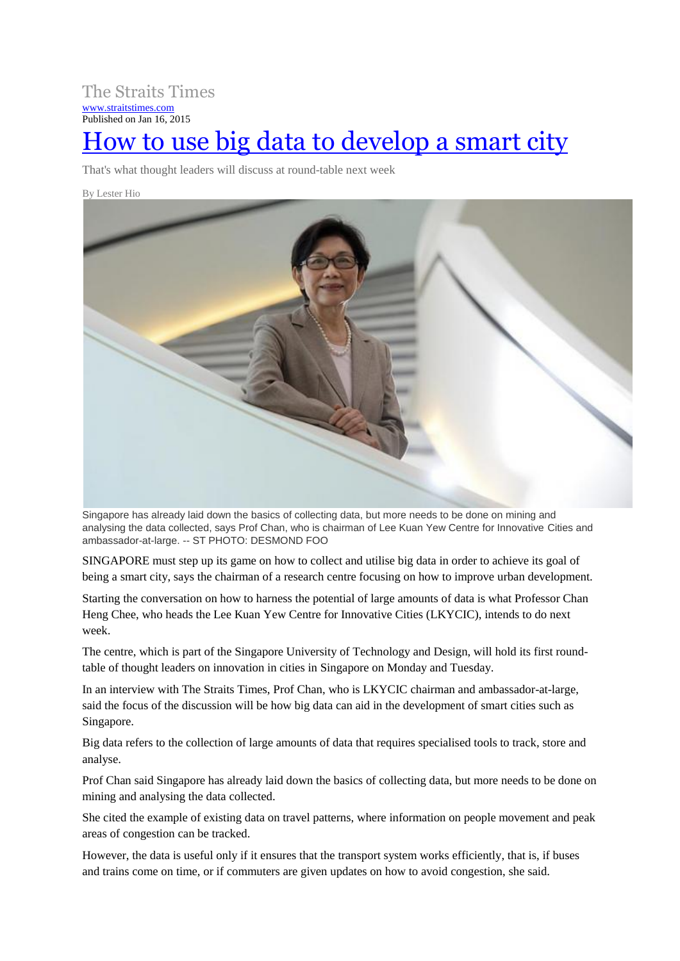The Straits Times [www.straitstimes.com](http://www.straitstimes.com/) Published on Jan 16, 2015 [How to use big data to develop a smart city](http://www.straitstimes.com/premium/singapore/story/how-use-big-data-develop-smart-city-20150116)

That's what thought leaders will discuss at round-table next week

By Lester Hio



Singapore has already laid down the basics of collecting data, but more needs to be done on mining and analysing the data collected, says Prof Chan, who is chairman of Lee Kuan Yew Centre for Innovative Cities and ambassador-at-large. -- ST PHOTO: DESMOND FOO

SINGAPORE must step up its game on how to collect and utilise big data in order to achieve its goal of being a smart city, says the chairman of a research centre focusing on how to improve urban development.

Starting the conversation on how to harness the potential of large amounts of data is what Professor Chan Heng Chee, who heads the Lee Kuan Yew Centre for Innovative Cities (LKYCIC), intends to do next week.

The centre, which is part of the Singapore University of Technology and Design, will hold its first roundtable of thought leaders on innovation in cities in Singapore on Monday and Tuesday.

In an interview with The Straits Times, Prof Chan, who is LKYCIC chairman and ambassador-at-large, said the focus of the discussion will be how big data can aid in the development of smart cities such as Singapore.

Big data refers to the collection of large amounts of data that requires specialised tools to track, store and analyse.

Prof Chan said Singapore has already laid down the basics of collecting data, but more needs to be done on mining and analysing the data collected.

She cited the example of existing data on travel patterns, where information on people movement and peak areas of congestion can be tracked.

However, the data is useful only if it ensures that the transport system works efficiently, that is, if buses and trains come on time, or if commuters are given updates on how to avoid congestion, she said.